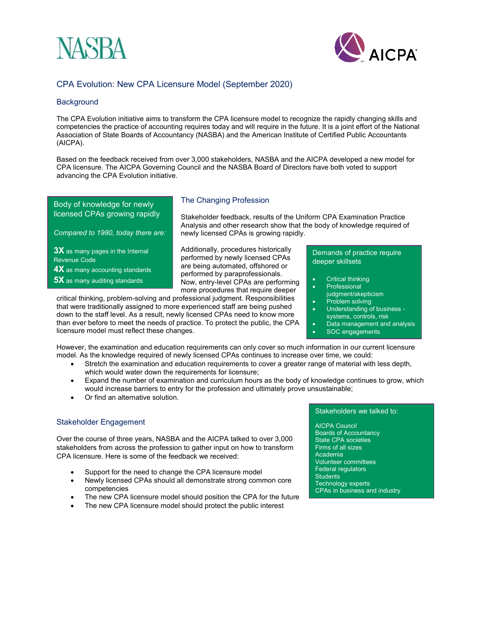



# CPA Evolution: New CPA Licensure Model (September 2020)

### **Background**

The CPA Evolution initiative aims to transform the CPA licensure model to recognize the rapidly changing skills and competencies the practice of accounting requires today and will require in the future. It is a joint effort of the National Association of State Boards of Accountancy (NASBA) and the American Institute of Certified Public Accountants (AICPA).

Based on the feedback received from over 3,000 stakeholders, NASBA and the AICPA developed a new model for CPA licensure. The AICPA Governing Council and the NASBA Board of Directors have both voted to support advancing the CPA Evolution initiative.

Body of knowledge for newly licensed CPAs growing rapidly

*Compared to 1980, today there are:*

**3X** as many pages in the Internal Revenue Code

**4X** as many accounting standards

**5X** as many auditing standards

## The Changing Profession

Stakeholder feedback, results of the Uniform CPA Examination Practice Analysis and other research show that the body of knowledge required of newly licensed CPAs is growing rapidly.

Additionally, procedures historically performed by newly licensed CPAs are being automated, offshored or performed by paraprofessionals. Now, entry-level CPAs are performing more procedures that require deeper

critical thinking, problem-solving and professional judgment. Responsibilities that were traditionally assigned to more experienced staff are being pushed down to the staff level. As a result, newly licensed CPAs need to know more than ever before to meet the needs of practice. To protect the public, the CPA licensure model must reflect these changes.

Demands of practice require deeper skillsets

- Critical thinking
- **Professional**
- judgment/skepticism
- Problem solving • Understanding of business -
- systems, controls, risk
- Data management and analysis
- SOC engagements

However, the examination and education requirements can only cover so much information in our current licensure model. As the knowledge required of newly licensed CPAs continues to increase over time, we could:

- Stretch the examination and education requirements to cover a greater range of material with less depth, which would water down the requirements for licensure;
- Expand the number of examination and curriculum hours as the body of knowledge continues to grow, which would increase barriers to entry for the profession and ultimately prove unsustainable;
- Or find an alternative solution.

## Stakeholder Engagement

Over the course of three years, NASBA and the AICPA talked to over 3,000 stakeholders from across the profession to gather input on how to transform CPA licensure. Here is some of the feedback we received:

- Support for the need to change the CPA licensure model
- Newly licensed CPAs should all demonstrate strong common core competencies
- The new CPA licensure model should position the CPA for the future
- The new CPA licensure model should protect the public interest

#### Stakeholders we talked to:

AICPA Council Boards of Accountancy State CPA societies Firms of all sizes Academia Volunteer committees Federal regulators **Students** Technology experts CPAs in business and industry